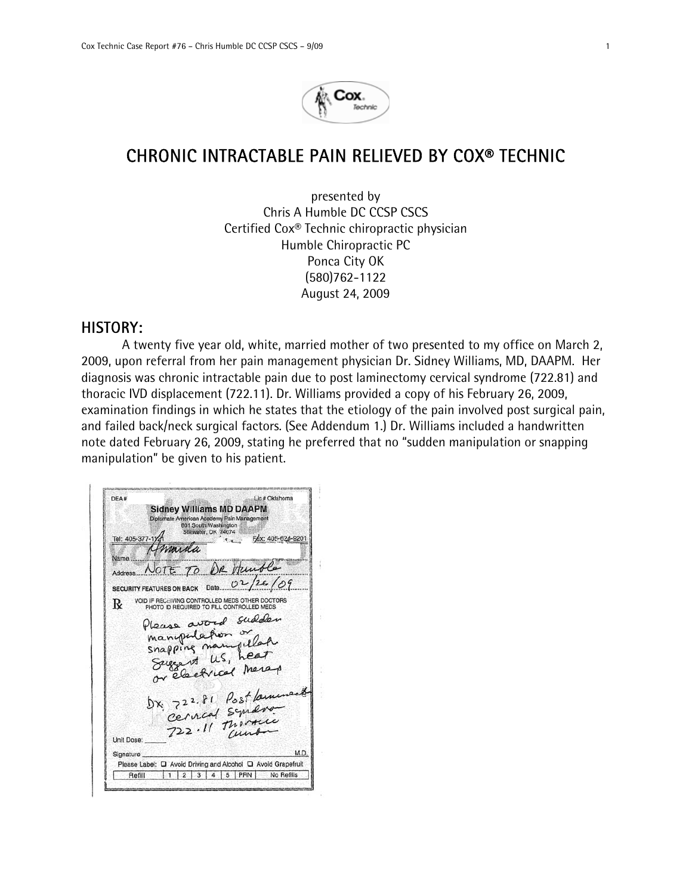

# CHRONIC INTRACTABLE PAIN RELIEVED BY COX® TECHNIC

 presented by Chris A Humble DC CCSP CSCS Certified Cox® Technic chiropractic physician Humble Chiropractic PC Ponca City OK (580)762-1122 August 24, 2009

## HISTORY:

 A twenty five year old, white, married mother of two presented to my office on March 2, 2009, upon referral from her pain management physician Dr. Sidney Williams, MD, DAAPM. Her diagnosis was chronic intractable pain due to post laminectomy cervical syndrome (722.81) and thoracic IVD displacement (722.11). Dr. Williams provided a copy of his February 26, 2009, examination findings in which he states that the etiology of the pain involved post surgical pain, and failed back/neck surgical factors. (See Addendum 1.) Dr. Williams included a handwritten note dated February 26, 2009, stating he preferred that no "sudden manipulation or snapping manipulation" be given to his patient.

DEA<sup>#</sup> Lic # Oklahom **Sidney Williams MD DAAPM** merican Academy Pain Management<br>801 South Washington<br>Stillwater, OK 74074 Diplomate A Fáx: 405-624-9201 marila Hunte  $4)2$  $NOTE$  $70$ Addre  $0<sup>2</sup>$  $126/09$ SECURITY FEATURES ON BACK Date VOID IF RECEIVING CONTROLLED MEDS OTHER DOCTORS<br>PHOTO ID REQUIRED TO FILL CONTROLLED MEDS R Please aword sudden manipolation or maniferation pilla  $\overrightarrow{u}$  us, hear Sugge lectrical mera  $5x - 722.81$  *Post la* cervical synd  $\pi$ .. 722 Unit Dose: M.D. Signature Please Label: Q Avoid Driving and Alcohol Q Avoid Grapefruit 1 2 3 4 5 PRN No Refilis Refill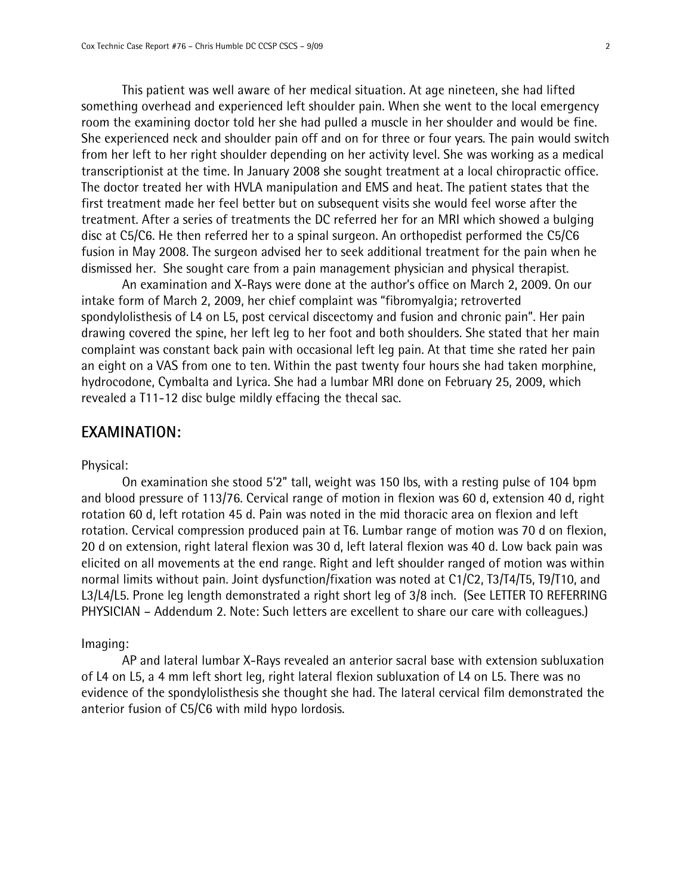This patient was well aware of her medical situation. At age nineteen, she had lifted something overhead and experienced left shoulder pain. When she went to the local emergency room the examining doctor told her she had pulled a muscle in her shoulder and would be fine. She experienced neck and shoulder pain off and on for three or four years. The pain would switch from her left to her right shoulder depending on her activity level. She was working as a medical transcriptionist at the time. In January 2008 she sought treatment at a local chiropractic office. The doctor treated her with HVLA manipulation and EMS and heat. The patient states that the first treatment made her feel better but on subsequent visits she would feel worse after the treatment. After a series of treatments the DC referred her for an MRI which showed a bulging disc at C5/C6. He then referred her to a spinal surgeon. An orthopedist performed the C5/C6 fusion in May 2008. The surgeon advised her to seek additional treatment for the pain when he dismissed her. She sought care from a pain management physician and physical therapist.

 An examination and X-Rays were done at the author's office on March 2, 2009. On our intake form of March 2, 2009, her chief complaint was "fibromyalgia; retroverted spondylolisthesis of L4 on L5, post cervical discectomy and fusion and chronic pain". Her pain drawing covered the spine, her left leg to her foot and both shoulders. She stated that her main complaint was constant back pain with occasional left leg pain. At that time she rated her pain an eight on a VAS from one to ten. Within the past twenty four hours she had taken morphine, hydrocodone, Cymbalta and Lyrica. She had a lumbar MRI done on February 25, 2009, which revealed a T11-12 disc bulge mildly effacing the thecal sac.

# EXAMINATION:

Physical:

 On examination she stood 5'2" tall, weight was 150 lbs, with a resting pulse of 104 bpm and blood pressure of 113/76. Cervical range of motion in flexion was 60 d, extension 40 d, right rotation 60 d, left rotation 45 d. Pain was noted in the mid thoracic area on flexion and left rotation. Cervical compression produced pain at T6. Lumbar range of motion was 70 d on flexion, 20 d on extension, right lateral flexion was 30 d, left lateral flexion was 40 d. Low back pain was elicited on all movements at the end range. Right and left shoulder ranged of motion was within normal limits without pain. Joint dysfunction/fixation was noted at C1/C2, T3/T4/T5, T9/T10, and L3/L4/L5. Prone leg length demonstrated a right short leg of 3/8 inch. (See LETTER TO REFERRING PHYSICIAN – Addendum 2. Note: Such letters are excellent to share our care with colleagues.)

### Imaging:

 AP and lateral lumbar X-Rays revealed an anterior sacral base with extension subluxation of L4 on L5, a 4 mm left short leg, right lateral flexion subluxation of L4 on L5. There was no evidence of the spondylolisthesis she thought she had. The lateral cervical film demonstrated the anterior fusion of C5/C6 with mild hypo lordosis.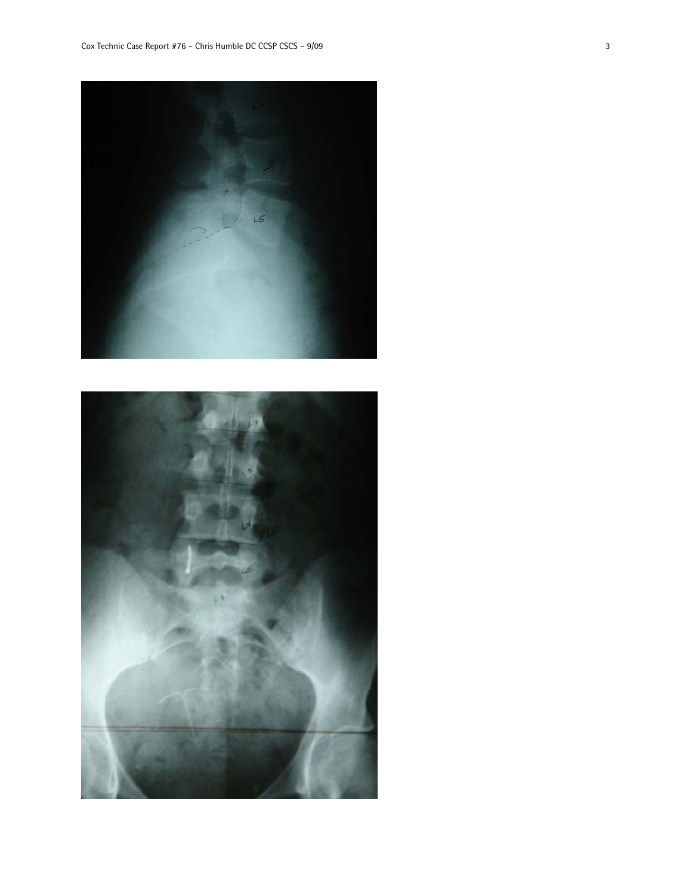

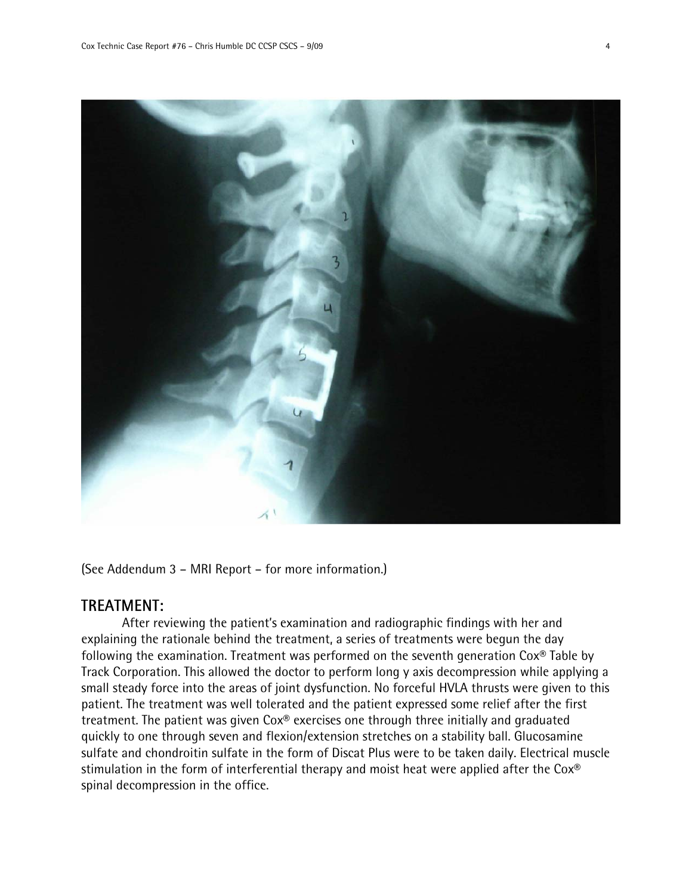

(See Addendum 3 – MRI Report – for more information.)

## TREATMENT:

 After reviewing the patient's examination and radiographic findings with her and explaining the rationale behind the treatment, a series of treatments were begun the day following the examination. Treatment was performed on the seventh generation Cox® Table by Track Corporation. This allowed the doctor to perform long y axis decompression while applying a small steady force into the areas of joint dysfunction. No forceful HVLA thrusts were given to this patient. The treatment was well tolerated and the patient expressed some relief after the first treatment. The patient was given Cox® exercises one through three initially and graduated quickly to one through seven and flexion/extension stretches on a stability ball. Glucosamine sulfate and chondroitin sulfate in the form of Discat Plus were to be taken daily. Electrical muscle stimulation in the form of interferential therapy and moist heat were applied after the Cox® spinal decompression in the office.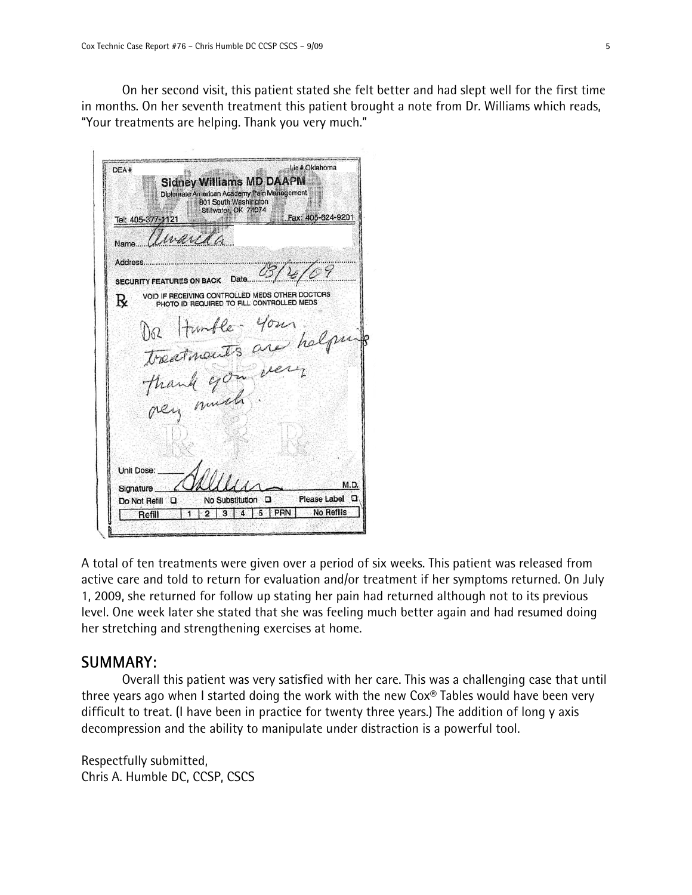On her second visit, this patient stated she felt better and had slept well for the first time in months. On her seventh treatment this patient brought a note from Dr. Williams which reads, "Your treatments are helping. Thank you very much."

Lic # Oklahoma DEA# **Sidney Williams MD DAAPM** Diplomate American Academy Pain Management 801 South Washington Stillwater, OK 74074 Tel: 405-377-112 Fax: 405-624-9201 Name Address U3 SECURITY FEATURES ON BACK Date. R Unit Dose: M.D. Signature No Substitution O Do Not Refill Q Please Label Q No Refilis Refill  $2 \ 3 \ 4 \ 5$  PRN  $\overline{1}$ 

A total of ten treatments were given over a period of six weeks. This patient was released from active care and told to return for evaluation and/or treatment if her symptoms returned. On July 1, 2009, she returned for follow up stating her pain had returned although not to its previous level. One week later she stated that she was feeling much better again and had resumed doing her stretching and strengthening exercises at home.

## SUMMARY:

 Overall this patient was very satisfied with her care. This was a challenging case that until three years ago when I started doing the work with the new Cox® Tables would have been very difficult to treat. (I have been in practice for twenty three years.) The addition of long y axis decompression and the ability to manipulate under distraction is a powerful tool.

Respectfully submitted, Chris A. Humble DC, CCSP, CSCS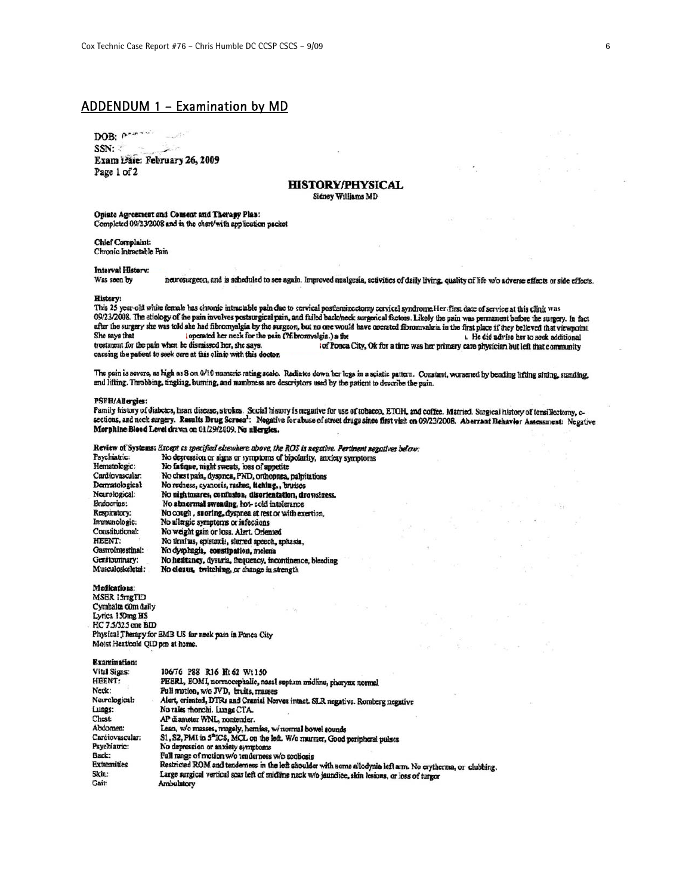## ADDENDUM 1 - Examination by MD

DOB:  $P^{max}$ SSN:  $\frac{1}{2}$  $\rightarrow$ Exam Late: February 26, 2009 Page 1 of 2

### **HISTORY/PHYSICAL**

Sidney Williams MD

Opiate Agreement and Consent and Therapy Plan: Completed 09/23/2008 and in the chart/with application packet

**Chief Complaint:** Chronic Intractable Pain

#### **Interval History:**

Was seen by

neurosurgeon, and is scheduled to see again. Improved analgesia, activities of daily living, quality of life w/o adverse effects or side effects.

#### History:

This 25 year-old white female has chronic intractable pain due to cervical postlaminectomy cervical syndrome. Her first date of service at this clinic was 09/23/2008. The etiology of the pain involves postsurgical pain, and failed back/neck surgerical factors. Likely the pain was permanent before the surgery. In fact of the surgery she was told she had fibromyalgia by the su She says that the pain when he distributed her neck for the pain (?fibromyalgia.) a fire<br>treatment for the pain when he distributed her, she says. The pain (?fibromyalgia.) a fire . He did advise her to seek additional of Ponca City, Ok for a time was her primary care physician but left that community causing the patient to seek care at this clinic with this doctor.

The pain is severe, as high as 8 on 0/10 numeric rating scale. Radiates down her legs in a sciatic pattern. Constant, worsened by bending lifting sitting, standing, and lifting. Throbbing, tingling, burning, and numbness are descriptors used by the patient to describe the pain.

#### PSFB/Allergies:

Family history of diabetes, heart disease, strokes. Social history is negative for use of tobacco, ETOH, and coffee. Married. Surgical history of tonsillectomy, csections, and neck surgery. Results Drug Screen1: Negative for abuse of street drugs since first visit on 09/23/2008. Aberrant Rehavior Assessment: Negative Morphine Blood Level drawn on 01/29/2009. No allergies.

#### Review of Systems: Except as specified elsewhere above, the ROS is negative. Pertinent negatives below:

| Psychiatric:      | No depression or signs or symptoms of bipolarity, anxiety symptoms |  |
|-------------------|--------------------------------------------------------------------|--|
| Hematologic:      | No fatique, night sweats, loss of appetite                         |  |
| Cardiovascular:   | No chest pain, dyspnea, PND, orthopnea, palpitations               |  |
| Dermatological:   | No redness, cyanosis, rashes, itching., bruises                    |  |
| Neurological:     | No nightmares, confusion, disorientation, drowsiness.              |  |
| Endocrine:        | No abnormal sweating, hot-cold intolerance                         |  |
| Respiratory:      | No cough, sucring, dyspnea at rest or with exertion.               |  |
| Immunologic:      | No allergic symptoms or infections                                 |  |
| Constitutional:   | No weight gain or loss. Alert. Oriented                            |  |
| <b>HEENT:</b>     | No tinnitus, epistaxis, slurred speech, aphasia,                   |  |
| Gastrointestinal: | No dysphagia, constipation, melena                                 |  |
| Genitourinary:    | No hesitancy, dysuria, frequency, incontinence, bleeding           |  |
| Musculoskeletal:  | No cleaus, twitching, or change in strength                        |  |
|                   |                                                                    |  |

#### Medications:

MSER ISmgTID Cymbalta 60m daily Lyrica 150mg HS HC 7.5/325 one BID Physical Therapy for EMB US for neck pain in Ponca City Moist Heaticold QID pro at home.

#### **Examination:**

| Vital Signs:       | 106/76 P88 R16 Ht 62 Wt 150                                                                                 |
|--------------------|-------------------------------------------------------------------------------------------------------------|
| <b>HEENT:</b>      | PEERL, EOMI, normocephalic, nasal septum midline, pharynx normal                                            |
| Neck:              | Full motion, w/o JVD, bruits, masses                                                                        |
| Neurological:      | Alert, oriented, DTRs and Cranial Nerves intact. SLR negative. Romberg negative                             |
| Lungs:             | No rales rhonchi. Lungs CTA.                                                                                |
| Chest              | AP diameter WNL, nontender.                                                                                 |
| Abdomen:           | Lean, w/o masses, magaly, hemias, w/ normal bowel sounds                                                    |
| Cardiovascular:    | \$1, \$2, PMI in 5 <sup>h</sup> ICS, MCL on the left. W/c murner, Good peripheral pulses                    |
| Psychiatric:       | No depression or anxiety symptoms                                                                           |
| Back:              | Full range of metion w/o tenderness w/o scoliosis                                                           |
| <b>Extremities</b> | Restricted ROM and tenderness in the left shoulder with some allodynia left arm. No erytherma, or clubbing. |
| Skm:               | Large surgical vertical scar left of midline nack w/o jaundice, skin lesions, or loss of turgor             |
| Gait:              | Ambulatory                                                                                                  |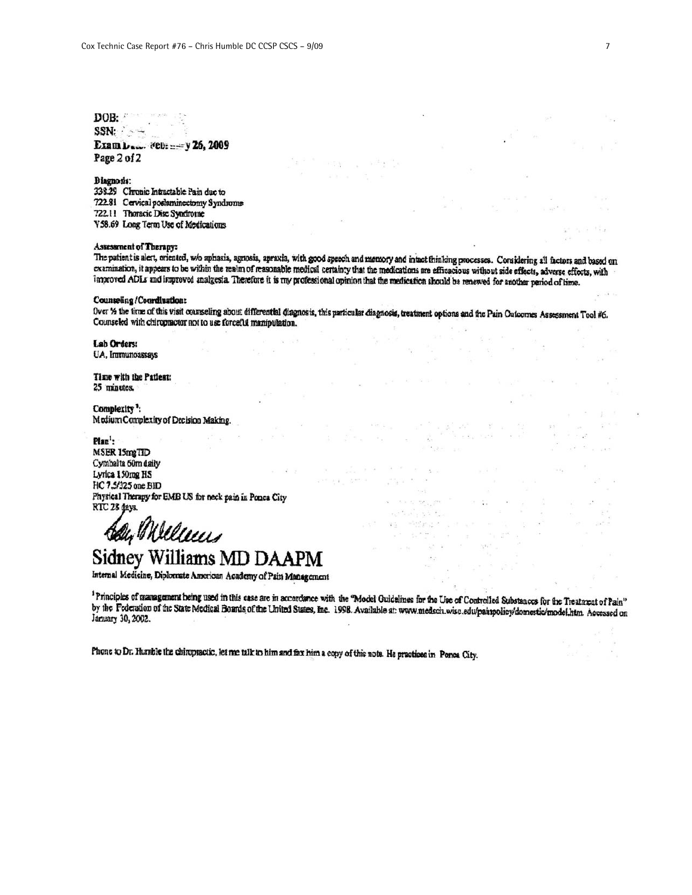#### $DOB: \mathbb{R}^n \to \mathbb{R}^n$  $\mathcal{C}(\mathcal{A})$  . SSN: 255 Exam Law. (20: 25, 26, 2009)

Page 2 of 2

### Diagnosis:

338.29 Chronic Intractable Pain due to 722.81 Cervical poslaminectomy Syndrome 722.11 Thoracic Disc Synchrome V58.69 Long Term Use of Medications

#### Assessment of Therapy:

The patient is alert, oriented, w/o aphasia, agnosia, apraxia, with good speech and memory and intact thinking processes. Considering all factors and based on examination, it appears to be within the realm of reasonable medical certainty that the medications are efficacious without side effects, adverse effects, with improved ADLs and improved analgesia. Therefore it is my professional opinion that the medication should be renewed for another period of time.

#### Counseling /Coordination:

Over 1/2 the time of this visit counseling about differential diagnosis, this particular diagnosis, treatment options and the Pain Cutcomes Assessment Tool #6. Counseled with chiropractor not to use forceful manipulation.

 $\label{eq:1.1} \mu^{(n)} = \frac{1}{2} \left( \frac{1}{2} \left( \frac{1}{2} \left( \frac{1}{2} \right) \right) + \frac{1}{2} \left( \frac{1}{2} \left( \frac{1}{2} \right) \right) + \frac{1}{2} \left( \frac{1}{2} \left( \frac{1}{2} \right) \right) + \frac{1}{2} \left( \frac{1}{2} \left( \frac{1}{2} \right) \right) + \frac{1}{2} \left( \frac{1}{2} \left( \frac{1}{2} \right) \right) + \frac{1}{2} \left( \frac{1}{2} \left( \frac{1$ 

 $\mathcal{V}=\mathcal{V}=\{V_{\alpha}\}$ 

 $\label{eq:2.1} \begin{array}{l} \displaystyle \kappa_{\alpha}=\frac{1}{2}\left(\kappa_{\alpha}-\frac{1}{2}\right)\\ \displaystyle \frac{\kappa_{\alpha}}{\kappa_{\alpha}-\kappa_{\alpha}}=\frac{1}{2}\left(\frac{\kappa_{\alpha}+1}{2}\right)\left(\kappa_{\alpha}-\frac{1}{2}\right)\\ \displaystyle \frac{\kappa_{\alpha}}{\kappa_{\alpha}+2\kappa_{\alpha}-1}\left(\frac{\kappa_{\alpha}}{\kappa_{\alpha}+2\kappa_{\alpha}-1}\right) \end{array}$ 

 $\left\langle \left( \mathbf{v}_{\mathbf{q}} \right)^{\mathbf{q}} \mathbf{v}_{\mathbf{q},\mathbf{p}} \right\rangle_{\mathbf{q}} \leq \left\langle \mathbf{v}_{\mathbf{q}} \right\rangle_{\mathbf{q}}$  $\label{eq:3.1} \Psi^{\alpha}_{\alpha} = -\frac{1}{2} \Omega^{\alpha} \mathcal{E}^{\alpha} \mathcal{E}^{\alpha} \mathcal{E}^{\alpha} \quad ,$ 

 $-16 - 15 + 15$ 

 $\label{eq:12} \mathbf{X} = -\frac{1}{2\sqrt{2}\kappa} \left( \frac{\mathbf{X}}{2} \right)^2 \mathbf{X} = \mathbf{X}^{-1} \mathbf{X} = \mathbf{X}^{-1} \mathbf{X} \mathbf{X}$ 

 $\label{eq:1.1} \mathcal{N}(\mathcal{N})=\mathcal{N}(\mathcal{N})=\mathcal{N}(\mathcal{N})=\mathcal{N}(\mathcal{N})=\mathcal{N}(\mathcal{N})=\mathcal{N}(\mathcal{N})$ 

#### **Lab Orders:** UA, Immunoassays

Time with the Patient: 25 minutes.

Complexity': Medium Complexity of Decision Making.

#### $Plap!$ :

MSER 15mgTID Cymbalta 60m daily  $-24.9$ Lyrica 150mg HS HC 7.5/325 one BID Physical Therapy for EMB US for neck pain in Ponea City RTC 28 days.

Melleurs

Sidney Williams MD DAAPM

Internal Medicine, Diplomate American Academy of Pain Management

<sup>1</sup> Principles of management heing used in this case are in accordance with the "Model Guidelines for the Use of Controlled Substances for the Treatment of Pain" by the Federation of the State Medical Boards of the United States, Inc. 1998. Available at: www.medsch.wise.edu/painpolicy/domestic/model.htm. Accessed on January 30, 2002.

Phone to Dr. Humble the chiropractic, let me talk to him and fax him a copy of this note. He practices in Ponca City.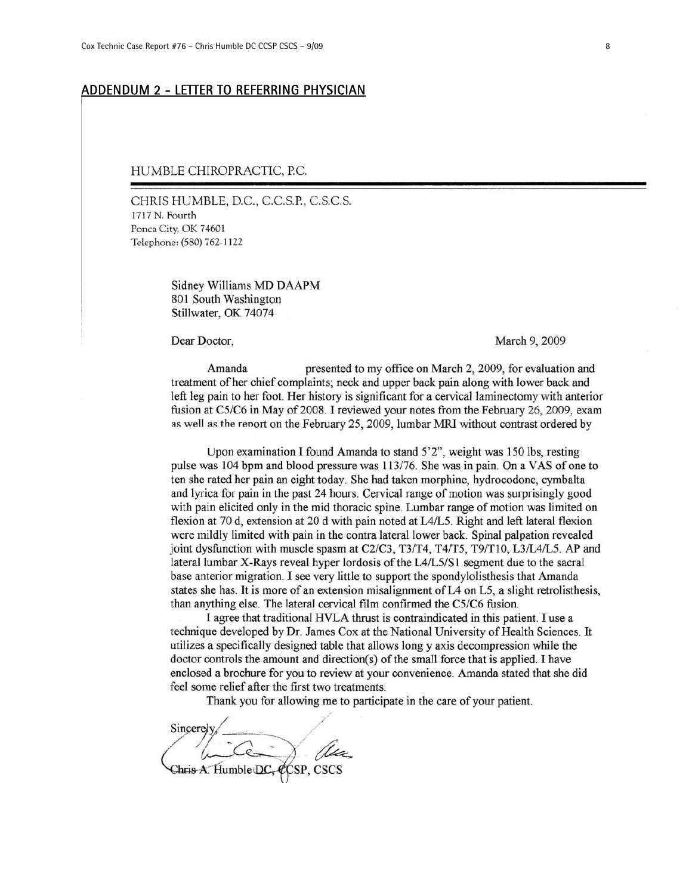## ADDENDUM 2 - LETTER TO REFERRING PHYSICIAN

HUMBLE CHIROPRACTIC, P.C.

CHRIS HUMBLE, D.C., C.C.S.P., C.S.C.S. 1717 N. Fourth Ponca City, OK 74601 Telephone: (580) 762-1122

> Sidney Williams MD DAAPM 801 South Washington Stillwater, OK 74074

Dear Doctor,

March 9, 2009

Amanda presented to my office on March 2, 2009, for evaluation and treatment of her chief complaints; neck and upper back pain along with lower back and left leg pain to her foot. Her history is significant for a cervical laminectomy with anterior fusion at C5/C6 in May of 2008. I reviewed your notes from the February 26, 2009, exam as well as the renort on the February 25, 2009, lumbar MRI without contrast ordered by

Upon examination I found Amanda to stand 5'2", weight was 150 lbs, resting pulse was 104 bpm and blood pressure was 113/76. She was in pain. On a VAS of one to ten she rated her pain an eight today. She had taken morphine, hydrocodone, cymbalta and lyrica for pain in the past 24 hours. Cervical range of motion was surprisingly good with pain elicited only in the mid thoracic spine. Lumbar range of motion was limited on flexion at 70 d, extension at 20 d with pain noted at L4/L5. Right and left lateral flexion were mildly limited with pain in the contra lateral lower back. Spinal palpation revealed joint dysfunction with muscle spasm at C2/C3, T3/T4, T4/T5, T9/T10, L3/L4/L5. AP and lateral lumbar X-Rays reveal hyper lordosis of the L4/L5/S1 segment due to the sacral base anterior migration. I see very little to support the spondylolisthesis that Amanda states she has. It is more of an extension misalignment of L4 on L5, a slight retrolisthesis, than anything else. The lateral cervical film confirmed the C5/C6 fusion.

I agree that traditional HVLA thrust is contraindicated in this patient. I use a technique developed by Dr. James Cox at the National University of Health Sciences. It utilizes a specifically designed table that allows long y axis decompression while the doctor controls the amount and direction(s) of the small force that is applied. I have enclosed a brochure for you to review at your convenience. Amanda stated that she did feel some relief after the first two treatments.

Thank you for allowing me to participate in the care of your patient.

Sincerely Chris A. Humble DC.